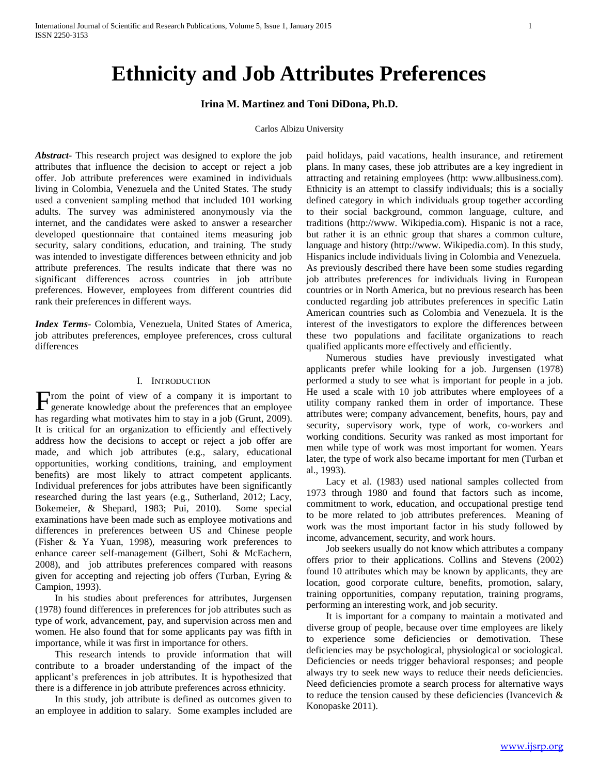# **Ethnicity and Job Attributes Preferences**

# **Irina M. Martinez and Toni DiDona, Ph.D.**

### Carlos Albizu University

*Abstract***-** This research project was designed to explore the job attributes that influence the decision to accept or reject a job offer. Job attribute preferences were examined in individuals living in Colombia, Venezuela and the United States. The study used a convenient sampling method that included 101 working adults. The survey was administered anonymously via the internet, and the candidates were asked to answer a researcher developed questionnaire that contained items measuring job security, salary conditions, education, and training. The study was intended to investigate differences between ethnicity and job attribute preferences. The results indicate that there was no significant differences across countries in job attribute preferences. However, employees from different countries did rank their preferences in different ways.

*Index Terms*- Colombia, Venezuela, United States of America, job attributes preferences, employee preferences, cross cultural differences

### I. INTRODUCTION

rom the point of view of a company it is important to From the point of view of a company it is important to generate knowledge about the preferences that an employee has regarding what motivates him to stay in a job (Grunt, 2009). It is critical for an organization to efficiently and effectively address how the decisions to accept or reject a job offer are made, and which job attributes (e.g., salary, educational opportunities, working conditions, training, and employment benefits) are most likely to attract competent applicants. Individual preferences for jobs attributes have been significantly researched during the last years (e.g., Sutherland, 2012; Lacy, Bokemeier, & Shepard, 1983; Pui, 2010). Some special examinations have been made such as employee motivations and differences in preferences between US and Chinese people (Fisher & Ya Yuan, 1998), measuring work preferences to enhance career self-management (Gilbert, Sohi & McEachern, 2008), and job attributes preferences compared with reasons given for accepting and rejecting job offers (Turban, Eyring & Campion, 1993).

 In his studies about preferences for attributes, Jurgensen (1978) found differences in preferences for job attributes such as type of work, advancement, pay, and supervision across men and women. He also found that for some applicants pay was fifth in importance, while it was first in importance for others.

 This research intends to provide information that will contribute to a broader understanding of the impact of the applicant's preferences in job attributes. It is hypothesized that there is a difference in job attribute preferences across ethnicity.

 In this study, job attribute is defined as outcomes given to an employee in addition to salary. Some examples included are paid holidays, paid vacations, health insurance, and retirement plans. In many cases, these job attributes are a key ingredient in attracting and retaining employees (http: www.allbusiness.com). Ethnicity is an attempt to classify individuals; this is a socially defined category in which individuals group together according to their social background, common language, culture, and traditions (http://www. Wikipedia.com). Hispanic is not a race, but rather it is an ethnic group that shares a common culture, language and history (http://www. Wikipedia.com). In this study, Hispanics include individuals living in Colombia and Venezuela. As previously described there have been some studies regarding job attributes preferences for individuals living in European countries or in North America, but no previous research has been conducted regarding job attributes preferences in specific Latin American countries such as Colombia and Venezuela. It is the interest of the investigators to explore the differences between these two populations and facilitate organizations to reach qualified applicants more effectively and efficiently.

 Numerous studies have previously investigated what applicants prefer while looking for a job. Jurgensen (1978) performed a study to see what is important for people in a job. He used a scale with 10 job attributes where employees of a utility company ranked them in order of importance. These attributes were; company advancement, benefits, hours, pay and security, supervisory work, type of work, co-workers and working conditions. Security was ranked as most important for men while type of work was most important for women. Years later, the type of work also became important for men (Turban et al., 1993).

 Lacy et al. (1983) used national samples collected from 1973 through 1980 and found that factors such as income, commitment to work, education, and occupational prestige tend to be more related to job attributes preferences. Meaning of work was the most important factor in his study followed by income, advancement, security, and work hours.

 Job seekers usually do not know which attributes a company offers prior to their applications. Collins and Stevens (2002) found 10 attributes which may be known by applicants, they are location, good corporate culture, benefits, promotion, salary, training opportunities, company reputation, training programs, performing an interesting work, and job security.

 It is important for a company to maintain a motivated and diverse group of people, because over time employees are likely to experience some deficiencies or demotivation. These deficiencies may be psychological, physiological or sociological. Deficiencies or needs trigger behavioral responses; and people always try to seek new ways to reduce their needs deficiencies. Need deficiencies promote a search process for alternative ways to reduce the tension caused by these deficiencies (Ivancevich  $\&$ Konopaske 2011).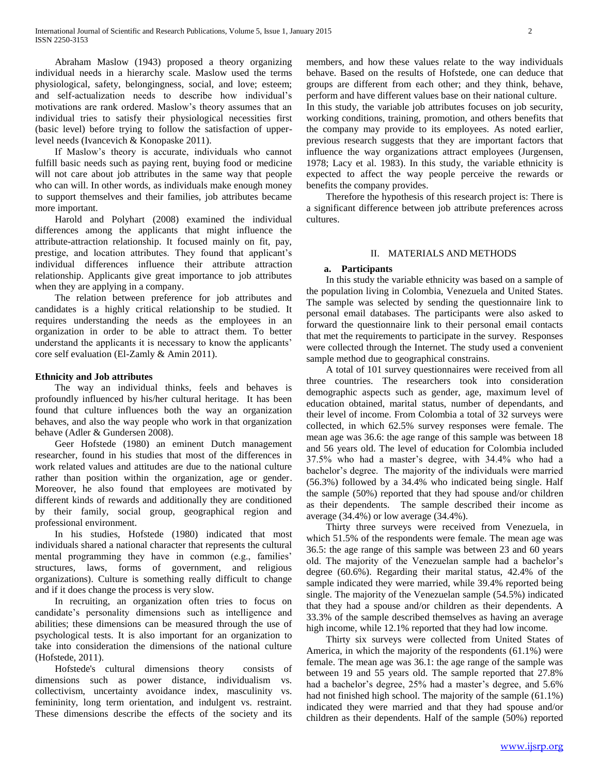Abraham Maslow (1943) proposed a theory organizing individual needs in a hierarchy scale. Maslow used the terms physiological, safety, belongingness, social, and love; esteem; and self-actualization needs to describe how individual's motivations are rank ordered. Maslow's theory assumes that an individual tries to satisfy their physiological necessities first (basic level) before trying to follow the satisfaction of upperlevel needs (Ivancevich & Konopaske 2011).

 If Maslow's theory is accurate, individuals who cannot fulfill basic needs such as paying rent, buying food or medicine will not care about job attributes in the same way that people who can will. In other words, as individuals make enough money to support themselves and their families, job attributes became more important.

 Harold and Polyhart (2008) examined the individual differences among the applicants that might influence the attribute-attraction relationship. It focused mainly on fit, pay, prestige, and location attributes. They found that applicant's individual differences influence their attribute attraction relationship. Applicants give great importance to job attributes when they are applying in a company.

 The relation between preference for job attributes and candidates is a highly critical relationship to be studied. It requires understanding the needs as the employees in an organization in order to be able to attract them. To better understand the applicants it is necessary to know the applicants' core self evaluation (El-Zamly & Amin 2011).

# **Ethnicity and Job attributes**

 The way an individual thinks, feels and behaves is profoundly influenced by his/her cultural heritage. It has been found that culture influences both the way an organization behaves, and also the way people who work in that organization behave (Adler & Gundersen 2008).

 Geer Hofstede (1980) an eminent Dutch management researcher, found in his studies that most of the differences in work related values and attitudes are due to the national culture rather than position within the organization, age or gender. Moreover, he also found that employees are motivated by different kinds of rewards and additionally they are conditioned by their family, social group, geographical region and professional environment.

 In his studies, Hofstede (1980) indicated that most individuals shared a national character that represents the cultural mental programming they have in common (e.g., families' structures, laws, forms of government, and religious organizations). Culture is something really difficult to change and if it does change the process is very slow.

 In recruiting, an organization often tries to focus on candidate's personality dimensions such as intelligence and abilities; these dimensions can be measured through the use of psychological tests. It is also important for an organization to take into consideration the dimensions of the national culture (Hofstede, 2011).

 Hofstede's cultural dimensions theory consists of dimensions such as power distance, individualism vs. collectivism, uncertainty avoidance index, masculinity vs. femininity, long term orientation, and indulgent vs. restraint. These dimensions describe the effects of the society and its

members, and how these values relate to the way individuals behave. Based on the results of Hofstede, one can deduce that groups are different from each other; and they think, behave, perform and have different values base on their national culture. In this study, the variable job attributes focuses on job security, working conditions, training, promotion, and others benefits that the company may provide to its employees. As noted earlier, previous research suggests that they are important factors that influence the way organizations attract employees (Jurgensen, 1978; Lacy et al. 1983). In this study, the variable ethnicity is expected to affect the way people perceive the rewards or benefits the company provides.

 Therefore the hypothesis of this research project is: There is a significant difference between job attribute preferences across cultures.

### II. MATERIALS AND METHODS

### **a. Participants**

 In this study the variable ethnicity was based on a sample of the population living in Colombia, Venezuela and United States. The sample was selected by sending the questionnaire link to personal email databases. The participants were also asked to forward the questionnaire link to their personal email contacts that met the requirements to participate in the survey. Responses were collected through the Internet. The study used a convenient sample method due to geographical constrains.

 A total of 101 survey questionnaires were received from all three countries. The researchers took into consideration demographic aspects such as gender, age, maximum level of education obtained, marital status, number of dependants, and their level of income. From Colombia a total of 32 surveys were collected, in which 62.5% survey responses were female. The mean age was 36.6: the age range of this sample was between 18 and 56 years old. The level of education for Colombia included 37.5% who had a master's degree, with 34.4% who had a bachelor's degree. The majority of the individuals were married (56.3%) followed by a 34.4% who indicated being single. Half the sample (50%) reported that they had spouse and/or children as their dependents. The sample described their income as average (34.4%) or low average (34.4%).

 Thirty three surveys were received from Venezuela, in which 51.5% of the respondents were female. The mean age was 36.5: the age range of this sample was between 23 and 60 years old. The majority of the Venezuelan sample had a bachelor's degree (60.6%). Regarding their marital status, 42.4% of the sample indicated they were married, while 39.4% reported being single. The majority of the Venezuelan sample (54.5%) indicated that they had a spouse and/or children as their dependents. A 33.3% of the sample described themselves as having an average high income, while 12.1% reported that they had low income.

 Thirty six surveys were collected from United States of America, in which the majority of the respondents (61.1%) were female. The mean age was 36.1: the age range of the sample was between 19 and 55 years old. The sample reported that 27.8% had a bachelor's degree, 25% had a master's degree, and 5.6% had not finished high school. The majority of the sample (61.1%) indicated they were married and that they had spouse and/or children as their dependents. Half of the sample (50%) reported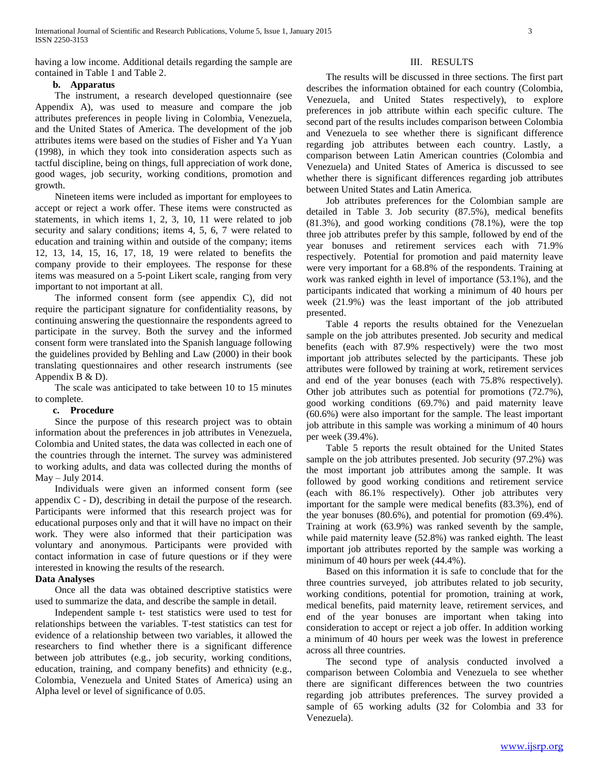having a low income. Additional details regarding the sample are contained in Table 1 and Table 2.

# **b. Apparatus**

 The instrument, a research developed questionnaire (see Appendix A), was used to measure and compare the job attributes preferences in people living in Colombia, Venezuela, and the United States of America. The development of the job attributes items were based on the studies of Fisher and Ya Yuan (1998), in which they took into consideration aspects such as tactful discipline, being on things, full appreciation of work done, good wages, job security, working conditions, promotion and growth.

 Nineteen items were included as important for employees to accept or reject a work offer. These items were constructed as statements, in which items 1, 2, 3, 10, 11 were related to job security and salary conditions; items 4, 5, 6, 7 were related to education and training within and outside of the company; items 12, 13, 14, 15, 16, 17, 18, 19 were related to benefits the company provide to their employees. The response for these items was measured on a 5-point Likert scale, ranging from very important to not important at all.

 The informed consent form (see appendix C), did not require the participant signature for confidentiality reasons, by continuing answering the questionnaire the respondents agreed to participate in the survey. Both the survey and the informed consent form were translated into the Spanish language following the guidelines provided by Behling and Law (2000) in their book translating questionnaires and other research instruments (see Appendix B & D).

 The scale was anticipated to take between 10 to 15 minutes to complete.

### **c. Procedure**

 Since the purpose of this research project was to obtain information about the preferences in job attributes in Venezuela, Colombia and United states, the data was collected in each one of the countries through the internet. The survey was administered to working adults, and data was collected during the months of May – July 2014.

 Individuals were given an informed consent form (see appendix C - D), describing in detail the purpose of the research. Participants were informed that this research project was for educational purposes only and that it will have no impact on their work. They were also informed that their participation was voluntary and anonymous. Participants were provided with contact information in case of future questions or if they were interested in knowing the results of the research.

# **Data Analyses**

 Once all the data was obtained descriptive statistics were used to summarize the data, and describe the sample in detail.

 Independent sample t- test statistics were used to test for relationships between the variables. T-test statistics can test for evidence of a relationship between two variables, it allowed the researchers to find whether there is a significant difference between job attributes (e.g., job security, working conditions, education, training, and company benefits) and ethnicity (e.g., Colombia, Venezuela and United States of America) using an Alpha level or level of significance of 0.05.

### III. RESULTS

 The results will be discussed in three sections. The first part describes the information obtained for each country (Colombia, Venezuela, and United States respectively), to explore preferences in job attribute within each specific culture. The second part of the results includes comparison between Colombia and Venezuela to see whether there is significant difference regarding job attributes between each country. Lastly, a comparison between Latin American countries (Colombia and Venezuela) and United States of America is discussed to see whether there is significant differences regarding job attributes between United States and Latin America.

 Job attributes preferences for the Colombian sample are detailed in Table 3. Job security (87.5%), medical benefits (81.3%), and good working conditions (78.1%), were the top three job attributes prefer by this sample, followed by end of the year bonuses and retirement services each with 71.9% respectively. Potential for promotion and paid maternity leave were very important for a 68.8% of the respondents. Training at work was ranked eighth in level of importance (53.1%), and the participants indicated that working a minimum of 40 hours per week (21.9%) was the least important of the job attributed presented.

 Table 4 reports the results obtained for the Venezuelan sample on the job attributes presented. Job security and medical benefits (each with 87.9% respectively) were the two most important job attributes selected by the participants. These job attributes were followed by training at work, retirement services and end of the year bonuses (each with 75.8% respectively). Other job attributes such as potential for promotions (72.7%), good working conditions (69.7%) and paid maternity leave (60.6%) were also important for the sample. The least important job attribute in this sample was working a minimum of 40 hours per week (39.4%).

 Table 5 reports the result obtained for the United States sample on the job attributes presented. Job security (97.2%) was the most important job attributes among the sample. It was followed by good working conditions and retirement service (each with 86.1% respectively). Other job attributes very important for the sample were medical benefits (83.3%), end of the year bonuses (80.6%), and potential for promotion (69.4%). Training at work (63.9%) was ranked seventh by the sample, while paid maternity leave (52.8%) was ranked eighth. The least important job attributes reported by the sample was working a minimum of 40 hours per week (44.4%).

 Based on this information it is safe to conclude that for the three countries surveyed, job attributes related to job security, working conditions, potential for promotion, training at work, medical benefits, paid maternity leave, retirement services, and end of the year bonuses are important when taking into consideration to accept or reject a job offer. In addition working a minimum of 40 hours per week was the lowest in preference across all three countries.

 The second type of analysis conducted involved a comparison between Colombia and Venezuela to see whether there are significant differences between the two countries regarding job attributes preferences. The survey provided a sample of 65 working adults (32 for Colombia and 33 for Venezuela).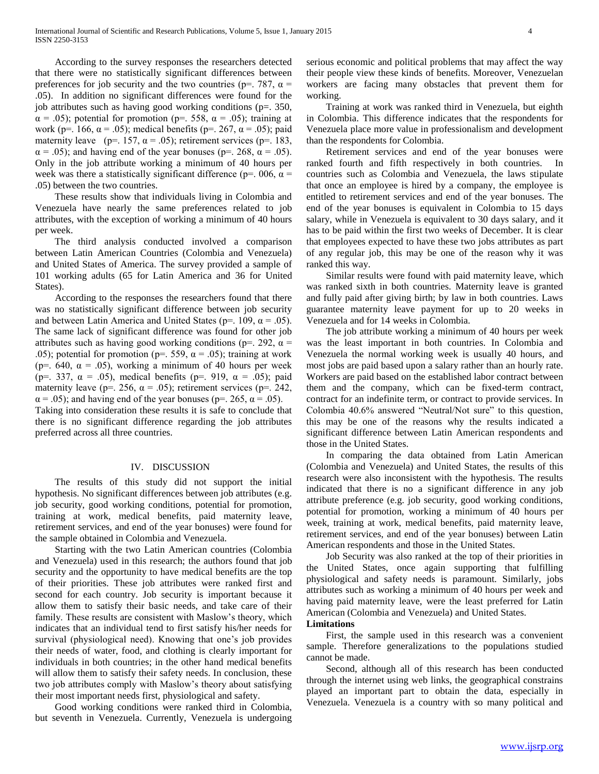According to the survey responses the researchers detected that there were no statistically significant differences between preferences for job security and the two countries ( $p=$ , 787,  $\alpha$  = .05). In addition no significant differences were found for the job attributes such as having good working conditions (p=. 350,  $\alpha$  = .05); potential for promotion (p=. 558,  $\alpha$  = .05); training at work (p=. 166,  $\alpha$  = .05); medical benefits (p=. 267,  $\alpha$  = .05); paid maternity leave (p=. 157,  $\alpha$  = .05); retirement services (p=. 183,  $\alpha$  = .05); and having end of the year bonuses (p=. 268,  $\alpha$  = .05). Only in the job attribute working a minimum of 40 hours per week was there a statistically significant difference ( $p=$  006,  $\alpha$  = .05) between the two countries.

 These results show that individuals living in Colombia and Venezuela have nearly the same preferences related to job attributes, with the exception of working a minimum of 40 hours per week.

 The third analysis conducted involved a comparison between Latin American Countries (Colombia and Venezuela) and United States of America. The survey provided a sample of 101 working adults (65 for Latin America and 36 for United States).

 According to the responses the researchers found that there was no statistically significant difference between job security and between Latin America and United States (p=. 109,  $\alpha$  = .05). The same lack of significant difference was found for other job attributes such as having good working conditions ( $p=$ , 292,  $\alpha$  = .05); potential for promotion ( $p=$  559,  $\alpha$  = .05); training at work (p=. 640,  $\alpha$  = .05), working a minimum of 40 hours per week (p=. 337,  $\alpha$  = .05), medical benefits (p=. 919,  $\alpha$  = .05); paid maternity leave (p=. 256,  $\alpha$  = .05); retirement services (p=. 242,  $\alpha$  = .05); and having end of the year bonuses (p=. 265,  $\alpha$  = .05). Taking into consideration these results it is safe to conclude that there is no significant difference regarding the job attributes preferred across all three countries.

### IV. DISCUSSION

 The results of this study did not support the initial hypothesis. No significant differences between job attributes (e.g. job security, good working conditions, potential for promotion, training at work, medical benefits, paid maternity leave, retirement services, and end of the year bonuses) were found for the sample obtained in Colombia and Venezuela.

 Starting with the two Latin American countries (Colombia and Venezuela) used in this research; the authors found that job security and the opportunity to have medical benefits are the top of their priorities. These job attributes were ranked first and second for each country. Job security is important because it allow them to satisfy their basic needs, and take care of their family. These results are consistent with Maslow's theory, which indicates that an individual tend to first satisfy his/her needs for survival (physiological need). Knowing that one's job provides their needs of water, food, and clothing is clearly important for individuals in both countries; in the other hand medical benefits will allow them to satisfy their safety needs. In conclusion, these two job attributes comply with Maslow's theory about satisfying their most important needs first, physiological and safety.

 Good working conditions were ranked third in Colombia, but seventh in Venezuela. Currently, Venezuela is undergoing serious economic and political problems that may affect the way their people view these kinds of benefits. Moreover, Venezuelan workers are facing many obstacles that prevent them for working.

 Training at work was ranked third in Venezuela, but eighth in Colombia. This difference indicates that the respondents for Venezuela place more value in professionalism and development than the respondents for Colombia.

 Retirement services and end of the year bonuses were ranked fourth and fifth respectively in both countries. In countries such as Colombia and Venezuela, the laws stipulate that once an employee is hired by a company, the employee is entitled to retirement services and end of the year bonuses. The end of the year bonuses is equivalent in Colombia to 15 days salary, while in Venezuela is equivalent to 30 days salary, and it has to be paid within the first two weeks of December. It is clear that employees expected to have these two jobs attributes as part of any regular job, this may be one of the reason why it was ranked this way.

 Similar results were found with paid maternity leave, which was ranked sixth in both countries. Maternity leave is granted and fully paid after giving birth; by law in both countries. Laws guarantee maternity leave payment for up to 20 weeks in Venezuela and for 14 weeks in Colombia.

 The job attribute working a minimum of 40 hours per week was the least important in both countries. In Colombia and Venezuela the normal working week is usually 40 hours, and most jobs are paid based upon a salary rather than an hourly rate. Workers are paid based on the established labor contract between them and the company, which can be fixed-term contract, contract for an indefinite term, or contract to provide services. In Colombia 40.6% answered "Neutral/Not sure" to this question, this may be one of the reasons why the results indicated a significant difference between Latin American respondents and those in the United States.

 In comparing the data obtained from Latin American (Colombia and Venezuela) and United States, the results of this research were also inconsistent with the hypothesis. The results indicated that there is no a significant difference in any job attribute preference (e.g. job security, good working conditions, potential for promotion, working a minimum of 40 hours per week, training at work, medical benefits, paid maternity leave, retirement services, and end of the year bonuses) between Latin American respondents and those in the United States.

 Job Security was also ranked at the top of their priorities in the United States, once again supporting that fulfilling physiological and safety needs is paramount. Similarly, jobs attributes such as working a minimum of 40 hours per week and having paid maternity leave, were the least preferred for Latin American (Colombia and Venezuela) and United States.

# **Limitations**

 First, the sample used in this research was a convenient sample. Therefore generalizations to the populations studied cannot be made.

 Second, although all of this research has been conducted through the internet using web links, the geographical constrains played an important part to obtain the data, especially in Venezuela. Venezuela is a country with so many political and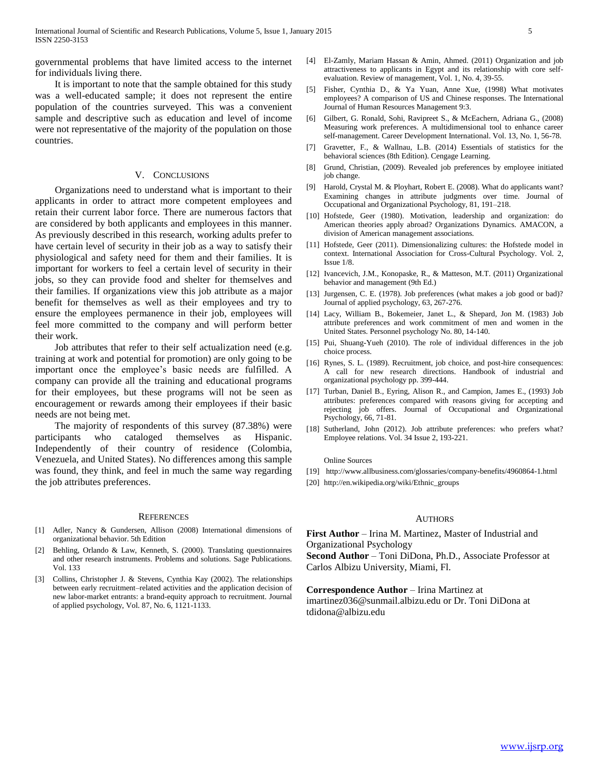governmental problems that have limited access to the internet for individuals living there.

 It is important to note that the sample obtained for this study was a well-educated sample; it does not represent the entire population of the countries surveyed. This was a convenient sample and descriptive such as education and level of income were not representative of the majority of the population on those countries.

### V. CONCLUSIONS

 Organizations need to understand what is important to their applicants in order to attract more competent employees and retain their current labor force. There are numerous factors that are considered by both applicants and employees in this manner. As previously described in this research, working adults prefer to have certain level of security in their job as a way to satisfy their physiological and safety need for them and their families. It is important for workers to feel a certain level of security in their jobs, so they can provide food and shelter for themselves and their families. If organizations view this job attribute as a major benefit for themselves as well as their employees and try to ensure the employees permanence in their job, employees will feel more committed to the company and will perform better their work.

 Job attributes that refer to their self actualization need (e.g. training at work and potential for promotion) are only going to be important once the employee's basic needs are fulfilled. A company can provide all the training and educational programs for their employees, but these programs will not be seen as encouragement or rewards among their employees if their basic needs are not being met.

 The majority of respondents of this survey (87.38%) were participants who cataloged themselves as Hispanic. Independently of their country of residence (Colombia, Venezuela, and United States). No differences among this sample was found, they think, and feel in much the same way regarding the job attributes preferences.

#### **REFERENCES**

- [1] Adler, Nancy & Gundersen, Allison (2008) International dimensions of organizational behavior. 5th Edition
- [2] Behling, Orlando & Law, Kenneth, S. (2000). Translating questionnaires and other research instruments. Problems and solutions. Sage Publications. Vol. 133
- [3] Collins, Christopher J. & Stevens, Cynthia Kay (2002). The relationships between early recruitment–related activities and the application decision of new labor-market entrants: a brand-equity approach to recruitment. Journal of applied psychology, Vol. 87, No. 6, 1121-1133.
- [4] El-Zamly, Mariam Hassan & Amin, Ahmed. (2011) Organization and job attractiveness to applicants in Egypt and its relationship with core selfevaluation. Review of management, Vol. 1, No. 4, 39-55.
- [5] Fisher, Cynthia D., & Ya Yuan, Anne Xue, (1998) What motivates employees? A comparison of US and Chinese responses. The International Journal of Human Resources Management 9:3.
- [6] Gilbert, G. Ronald, Sohi, Ravipreet S., & McEachern, Adriana G., (2008) Measuring work preferences. A multidimensional tool to enhance career self-management. Career Development International. Vol. 13, No. 1, 56-78.
- [7] Gravetter, F., & Wallnau, L.B. (2014) Essentials of statistics for the behavioral sciences (8th Edition). Cengage Learning.
- [8] Grund, Christian, (2009). Revealed job preferences by employee initiated job change.
- [9] Harold, Crystal M. & Ployhart, Robert E. (2008). What do applicants want? Examining changes in attribute judgments over time. Journal of Occupational and Organizational Psychology, 81, 191–218.
- [10] Hofstede, Geer (1980). Motivation, leadership and organization: do American theories apply abroad? Organizations Dynamics. AMACON, a division of American management associations.
- [11] Hofstede, Geer (2011). Dimensionalizing cultures: the Hofstede model in context. International Association for Cross-Cultural Psychology. Vol. 2, Issue 1/8.
- [12] Ivancevich, J.M., Konopaske, R., & Matteson, M.T. (2011) Organizational behavior and management (9th Ed.)
- [13] Jurgensen, C. E. (1978). Job preferences (what makes a job good or bad)? Journal of applied psychology, 63, 267-276.
- [14] Lacy, William B., Bokemeier, Janet L., & Shepard, Jon M. (1983) Job attribute preferences and work commitment of men and women in the United States. Personnel psychology No. 80, 14-140.
- [15] Pui, Shuang-Yueh (2010). The role of individual differences in the job choice process.
- [16] Rynes, S. L. (1989). Recruitment, job choice, and post-hire consequences: A call for new research directions. Handbook of industrial and organizational psychology pp. 399-444.
- [17] Turban, Daniel B., Eyring, Alison R., and Campion, James E., (1993) Job attributes: preferences compared with reasons giving for accepting and rejecting job offers. Journal of Occupational and Organizational Psychology, 66, 71-81.
- [18] Sutherland, John (2012). Job attribute preferences: who prefers what? Employee relations. Vol. 34 Issue 2, 193-221.

Online Sources

- [19] http://www.allbusiness.com/glossaries/company-benefits/4960864-1.html
- [20] http://en.wikipedia.org/wiki/Ethnic\_groups

### AUTHORS

**First Author** – Irina M. Martinez, Master of Industrial and Organizational Psychology

**Second Author** – Toni DiDona, Ph.D., Associate Professor at Carlos Albizu University, Miami, Fl.

**Correspondence Author** – Irina Martinez at imartinez036@sunmail.albizu.edu or Dr. Toni DiDona at tdidona@albizu.edu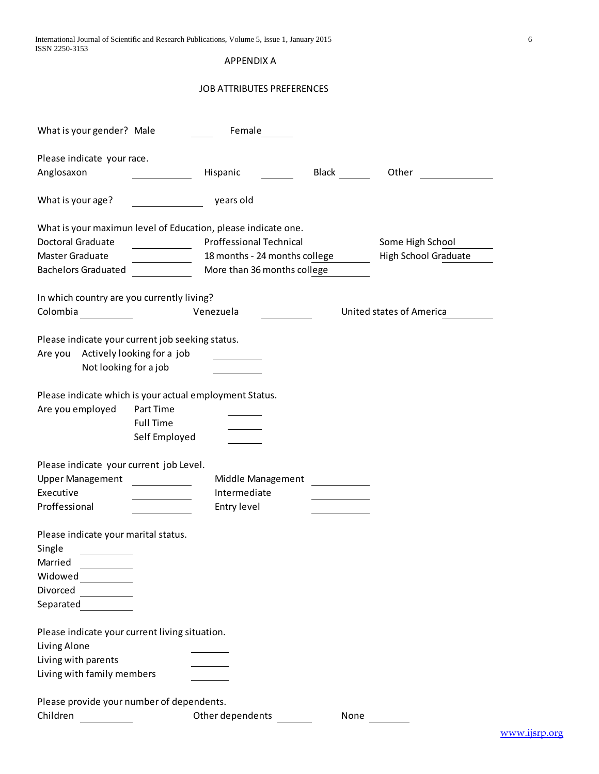APPENDIX A

# JOB ATTRIBUTES PREFERENCES

| What is your gender? Male                               |                                  | Female                                                        |                            |                             |
|---------------------------------------------------------|----------------------------------|---------------------------------------------------------------|----------------------------|-----------------------------|
| Please indicate your race.                              |                                  |                                                               |                            |                             |
| Anglosaxon                                              |                                  | Hispanic                                                      | <b>Black Exercise 1999</b> | Other                       |
|                                                         |                                  |                                                               |                            |                             |
| What is your age?                                       |                                  | years old                                                     |                            |                             |
|                                                         |                                  | What is your maximun level of Education, please indicate one. |                            |                             |
| <b>Doctoral Graduate</b>                                | <u> 1990 - Jan Jawa Barat, p</u> | <b>Proffessional Technical</b>                                |                            | Some High School            |
| Master Graduate                                         |                                  | 18 months - 24 months college                                 |                            | <b>High School Graduate</b> |
| <b>Bachelors Graduated</b>                              | <u> 1999 - Jan Jawa</u>          | More than 36 months college                                   |                            |                             |
|                                                         |                                  |                                                               |                            |                             |
| In which country are you currently living?              |                                  | Venezuela                                                     |                            | United states of America    |
| Colombia                                                |                                  |                                                               |                            |                             |
| Please indicate your current job seeking status.        |                                  |                                                               |                            |                             |
| Are you Actively looking for a job                      |                                  |                                                               |                            |                             |
| Not looking for a job                                   |                                  |                                                               |                            |                             |
|                                                         |                                  |                                                               |                            |                             |
| Please indicate which is your actual employment Status. |                                  |                                                               |                            |                             |
| Are you employed                                        | Part Time                        |                                                               |                            |                             |
|                                                         | <b>Full Time</b>                 |                                                               |                            |                             |
|                                                         | Self Employed                    |                                                               |                            |                             |
|                                                         |                                  |                                                               |                            |                             |
| Please indicate your current job Level.                 |                                  |                                                               |                            |                             |
| <b>Upper Management</b>                                 |                                  | Middle Management                                             |                            |                             |
| Executive                                               |                                  | Intermediate                                                  |                            |                             |
| Proffessional                                           |                                  | Entry level                                                   |                            |                             |
|                                                         |                                  |                                                               |                            |                             |
| Please indicate your marital status.                    |                                  |                                                               |                            |                             |
| Single                                                  |                                  |                                                               |                            |                             |
| Married                                                 |                                  |                                                               |                            |                             |
| Widowed                                                 |                                  |                                                               |                            |                             |
| Divorced                                                |                                  |                                                               |                            |                             |
| Separated                                               |                                  |                                                               |                            |                             |
|                                                         |                                  |                                                               |                            |                             |
| Please indicate your current living situation.          |                                  |                                                               |                            |                             |
| Living Alone                                            |                                  |                                                               |                            |                             |
| Living with parents                                     |                                  |                                                               |                            |                             |
| Living with family members                              |                                  |                                                               |                            |                             |
| Please provide your number of dependents.               |                                  |                                                               |                            |                             |
| Children                                                |                                  | Other dependents                                              | None                       |                             |
|                                                         |                                  |                                                               |                            |                             |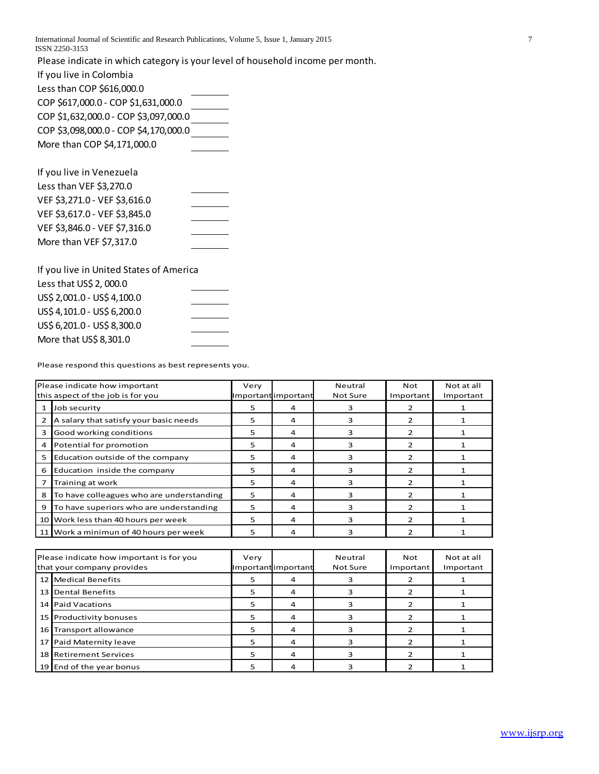International Journal of Scientific and Research Publications, Volume 5, Issue 1, January 2015 7 ISSN 2250-3153

Please indicate in which category is your level of household income per month.

If you live in Colombia

Less than COP \$616,000.0 COP \$617,000.0 - COP \$1,631,000.0 COP \$1,632,000.0 - COP \$3,097,000.0 COP \$3,098,000.0 - COP \$4,170,000.0 More than COP \$4,171,000.0

| If you live in Venezuela      |  |
|-------------------------------|--|
| Less than VEF \$3,270.0       |  |
| VEF \$3,271.0 - VEF \$3,616.0 |  |
| VEF \$3,617.0 - VEF \$3,845.0 |  |
| VEF \$3,846.0 - VEF \$7,316.0 |  |
| More than VEF \$7,317.0       |  |

| If you live in United States of America |  |
|-----------------------------------------|--|
| Less that US\$ 2, 000.0                 |  |
| US\$ 2,001.0 - US\$ 4,100.0             |  |
| US\$ 4,101.0 - US\$ 6,200.0             |  |
| US\$ 6,201.0 - US\$ 8,300.0             |  |
| More that US\$ 8,301.0                  |  |

Please respond this questions as best represents you.

|              | Please indicate how important<br>this aspect of the job is for you | Very | Importantimportant | Neutral<br>Not Sure | Not<br>Important | Not at all<br>Important |
|--------------|--------------------------------------------------------------------|------|--------------------|---------------------|------------------|-------------------------|
| $\mathbf{1}$ | Job security                                                       | 5    | 4                  | з                   |                  |                         |
| 2            | A salary that satisfy your basic needs                             | 5    | 4                  | 3                   |                  |                         |
| 3            | Good working conditions                                            | 5    | 4                  | 3                   |                  |                         |
| 4            | Potential for promotion                                            | 5    | 4                  | ٩                   |                  |                         |
| 5            | Education outside of the company                                   | 5    | 4                  | 3                   |                  |                         |
| 6            | Education inside the company                                       | 5    | 4                  | ٩                   | っ                |                         |
|              | Training at work                                                   | 5    | 4                  | з                   | っ                |                         |
| 8            | To have colleagues who are understanding                           | 5    | 4                  | з                   | っ                |                         |
| 9            | To have superiors who are understanding                            | 5    | 4                  | з                   |                  |                         |
|              | 10 Work less than 40 hours per week                                | 5    | 4                  | ٩                   | 2                |                         |
| 11           | Work a minimun of 40 hours per week                                | 5    | 4                  | 3                   |                  |                         |

| Please indicate how important is for you<br>that your company provides | Very | Importantimportant | Neutral<br>Not Sure | Not<br>Important | Not at all<br>Important |
|------------------------------------------------------------------------|------|--------------------|---------------------|------------------|-------------------------|
| 12 Medical Benefits                                                    |      |                    |                     |                  |                         |
| 13 Dental Benefits                                                     |      |                    |                     |                  |                         |
| 14 Paid Vacations                                                      | 5    |                    |                     |                  |                         |
| 15 Productivity bonuses                                                | 5    | 4                  |                     |                  |                         |
| 16 Transport allowance                                                 | 5    | 4                  |                     |                  |                         |
| 17 Paid Maternity leave                                                | 5    |                    |                     |                  |                         |
| 18 Retirement Services                                                 | 5    |                    |                     |                  |                         |
| 19 End of the year bonus                                               |      |                    |                     |                  |                         |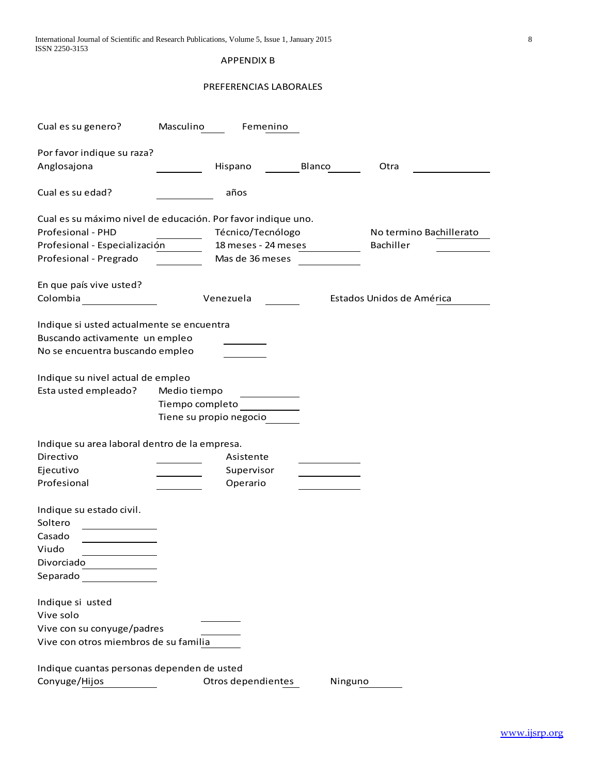| International Journal of Scientific and Research Publications, Volume 5, Issue 1, January 2015 |  |
|------------------------------------------------------------------------------------------------|--|
| ISSN 2250-3153                                                                                 |  |

# APPENDIX B

# PREFERENCIAS LABORALES

| Cual es su genero?                                                                                             | Masculino               |                     | Femenino |         |                           |
|----------------------------------------------------------------------------------------------------------------|-------------------------|---------------------|----------|---------|---------------------------|
|                                                                                                                |                         |                     |          |         |                           |
| Por favor indique su raza?                                                                                     |                         |                     |          |         |                           |
| Anglosajona                                                                                                    |                         | Hispano             |          | Blanco  | Otra                      |
| Cual es su edad?                                                                                               |                         | años                |          |         |                           |
| Cual es su máximo nivel de educación. Por favor indique uno.                                                   |                         |                     |          |         |                           |
| Profesional - PHD                                                                                              |                         | Técnico/Tecnólogo   |          |         | No termino Bachillerato   |
| Profesional - Especialización                                                                                  |                         | 18 meses - 24 meses |          |         | Bachiller                 |
| Profesional - Pregrado                                                                                         |                         | Mas de 36 meses     |          |         |                           |
|                                                                                                                |                         |                     |          |         |                           |
| En que país vive usted?                                                                                        |                         |                     |          |         |                           |
| Colombia                                                                                                       |                         | Venezuela           |          |         | Estados Unidos de América |
| Indique si usted actualmente se encuentra<br>Buscando activamente un empleo<br>No se encuentra buscando empleo |                         |                     |          |         |                           |
| Indique su nivel actual de empleo                                                                              |                         |                     |          |         |                           |
| Esta usted empleado?                                                                                           | Medio tiempo            |                     |          |         |                           |
|                                                                                                                | Tiempo completo         |                     |          |         |                           |
|                                                                                                                | Tiene su propio negocio |                     |          |         |                           |
|                                                                                                                |                         |                     |          |         |                           |
| Indique su area laboral dentro de la empresa.                                                                  |                         |                     |          |         |                           |
| Directivo                                                                                                      |                         | Asistente           |          |         |                           |
| Ejecutivo                                                                                                      |                         | Supervisor          |          |         |                           |
| Profesional                                                                                                    |                         | Operario            |          |         |                           |
|                                                                                                                |                         |                     |          |         |                           |
| Indique su estado civil.                                                                                       |                         |                     |          |         |                           |
| Soltero                                                                                                        |                         |                     |          |         |                           |
| Casado                                                                                                         |                         |                     |          |         |                           |
| Viudo                                                                                                          |                         |                     |          |         |                           |
| Divorciado                                                                                                     |                         |                     |          |         |                           |
| Separado                                                                                                       |                         |                     |          |         |                           |
| Indique si usted                                                                                               |                         |                     |          |         |                           |
| Vive solo                                                                                                      |                         |                     |          |         |                           |
| Vive con su conyuge/padres                                                                                     |                         |                     |          |         |                           |
| Vive con otros miembros de su familia                                                                          |                         |                     |          |         |                           |
|                                                                                                                |                         |                     |          |         |                           |
| Indique cuantas personas dependen de usted                                                                     |                         |                     |          |         |                           |
| Conyuge/Hijos                                                                                                  |                         | Otros dependientes  |          | Ninguno |                           |

[www.ijsrp.org](http://ijsrp.org/)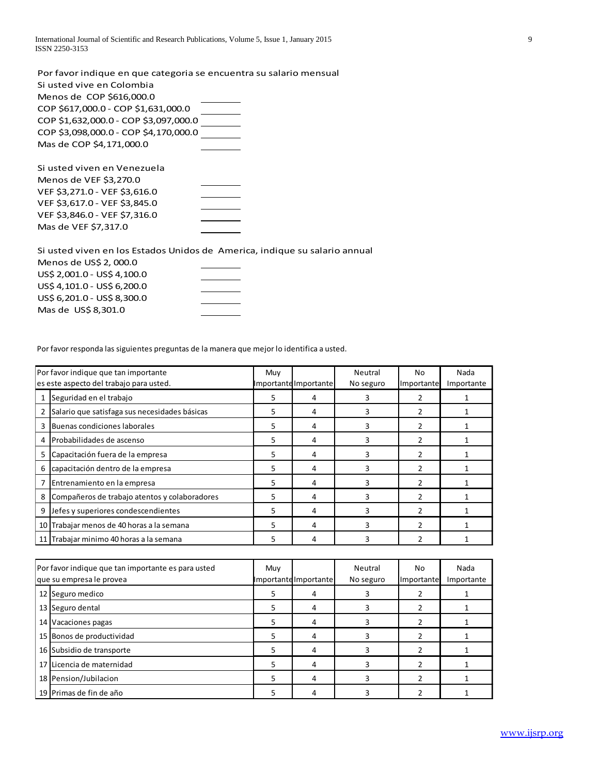International Journal of Scientific and Research Publications, Volume 5, Issue 1, January 2015 9 ISSN 2250-3153

Por favor indique en que categoria se encuentra su salario mensual Si usted vive en Colombia Menos de COP \$616,000.0 COP \$617,000.0 - COP \$1,631,000.0 COP \$1,632,000.0 - COP \$3,097,000.0 COP \$3,098,000.0 - COP \$4,170,000.0 Mas de COP \$4,171,000.0 Si usted viven en Venezuela Menos de VEF \$3,270.0

| VEF \$3,271.0 - VEF \$3,616.0 |  |
|-------------------------------|--|
| VEF \$3,617.0 - VEF \$3,845.0 |  |
| VEF \$3,846.0 - VEF \$7,316.0 |  |
| Mas de VEF \$7,317.0          |  |

Mas de US\$ 8,301.0

Si usted viven en los Estados Unidos de America, indique su salario annual Menos de US\$ 2, 000.0 US\$ 2,001.0 - US\$ 4,100.0 US\$ 4,101.0 - US\$ 6,200.0 US\$ 6,201.0 - US\$ 8,300.0

|    | Por favor responda las siguientes preguntas de la manera que mejor lo identifica a usted. |     |                       |           |                |            |  |  |  |  |  |  |
|----|-------------------------------------------------------------------------------------------|-----|-----------------------|-----------|----------------|------------|--|--|--|--|--|--|
|    | Por favor indique que tan importante                                                      | Muy |                       | Neutral   | No             | Nada       |  |  |  |  |  |  |
|    | es este aspecto del trabajo para usted.                                                   |     | Importante Importante | No seguro | Importante     | Importante |  |  |  |  |  |  |
|    | Seguridad en el trabajo                                                                   | 5   | 4                     | 3         | 2              |            |  |  |  |  |  |  |
|    | Salario que satisfaga sus necesidades básicas                                             | 5   | 4                     | 3         | $\mathcal{P}$  |            |  |  |  |  |  |  |
| 3  | Buenas condiciones laborales                                                              | 5   | 4                     | 3         | $\mathcal{P}$  |            |  |  |  |  |  |  |
| 4  | Probabilidades de ascenso                                                                 | 5   | 4                     | 3         |                |            |  |  |  |  |  |  |
| 5  | Capacitación fuera de la empresa                                                          | 5   | 4                     | 3         | $\mathcal{P}$  |            |  |  |  |  |  |  |
| 6  | capacitación dentro de la empresa                                                         | 5   | 4                     | 3         | $\overline{2}$ |            |  |  |  |  |  |  |
|    | Entrenamiento en la empresa                                                               | 5   | 4                     | 3         | 2              |            |  |  |  |  |  |  |
| 8  | Compañeros de trabajo atentos y colaboradores                                             | 5.  | 4                     | 3         | $\mathcal{P}$  |            |  |  |  |  |  |  |
| 9  | Jefes y superiores condescendientes                                                       | 5   | 4                     | 3         | $\mathcal{P}$  |            |  |  |  |  |  |  |
| 10 | Trabajar menos de 40 horas a la semana                                                    | 5   | 4                     | 3         | 2              |            |  |  |  |  |  |  |
|    | 11 Trabajar minimo 40 horas a la semana                                                   | 5   | 4                     | 3         |                |            |  |  |  |  |  |  |

| 10 Trabajar menos de 40 horas a la semana                                      | 5   | 4                     | 3                    | $\mathcal{P}$    |                    |
|--------------------------------------------------------------------------------|-----|-----------------------|----------------------|------------------|--------------------|
| 11 Trabajar minimo 40 horas a la semana                                        | 5   | 4                     | 3                    | 2                |                    |
|                                                                                |     |                       |                      |                  |                    |
| Por favor indique que tan importante es para usted<br>que su empresa le provea | Muy | Importante Importante | Neutral<br>No seguro | No<br>Importante | Nada<br>Importante |
| 12 Seguro medico                                                               | 5   | 4                     |                      |                  |                    |
| 13 Seguro dental                                                               | 5.  | 4                     | 3                    |                  |                    |
| 14 Vacaciones pagas                                                            | 5.  | 4                     | 3                    |                  |                    |
| 15 Bonos de productividad                                                      | 5   | 4                     | 3                    | 2                |                    |
| 16 Subsidio de transporte                                                      | 5   | 4                     | 3                    |                  |                    |
| 17 Licencia de maternidad                                                      | 5   | 4                     | 3                    | 2                |                    |
| 18 Pension/Jubilacion                                                          | 5   | 4                     | 3                    | 2                |                    |
| 19 Primas de fin de año                                                        | 5   | 4                     | 3                    |                  |                    |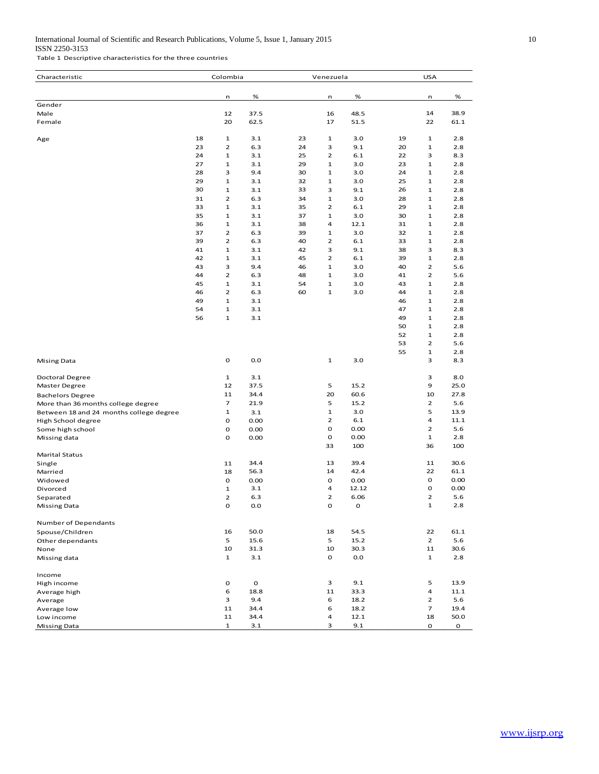### International Journal of Scientific and Research Publications, Volume 5, Issue 1, January 2015 10 ISSN 2250-3153

Table 1 Descriptive characteristics for the three countries

| Characteristic                          |          | Colombia                     |              |          | Venezuela                    |              |          | <b>USA</b>                     |              |
|-----------------------------------------|----------|------------------------------|--------------|----------|------------------------------|--------------|----------|--------------------------------|--------------|
|                                         |          |                              |              |          |                              | %            |          |                                | %            |
| Gender                                  |          | n                            | %            |          | n                            |              |          | n                              |              |
| Male                                    |          | 12                           | 37.5         |          | 16                           | 48.5         |          | 14                             | 38.9         |
| Female                                  |          | 20                           | 62.5         |          | 17                           | 51.5         |          | 22                             | 61.1         |
| Age                                     | 18       | $\mathbf{1}$                 | 3.1          | 23       | $\mathbf{1}$                 | 3.0          | 19       | $\mathbf{1}$                   | 2.8          |
|                                         | 23       | $\overline{\mathbf{c}}$      | 6.3          | 24       | 3                            | 9.1          | 20       | $\mathbf{1}$                   | 2.8          |
|                                         | 24       | $\mathbf{1}$                 | 3.1          | 25       | $\overline{2}$               | 6.1          | 22       | 3                              | 8.3          |
|                                         | 27       | $\mathbf{1}$                 | 3.1          | 29       | $\mathbf{1}$                 | 3.0          | 23       | $\mathbf{1}$                   | 2.8          |
|                                         | 28       | 3                            | 9.4          | 30       | $\mathbf{1}$                 | 3.0          | 24       | $\mathbf 1$                    | 2.8          |
|                                         | 29       | $\mathbf{1}$                 | 3.1          | 32       | $\mathbf{1}$                 | 3.0          | 25       | $\mathbf 1$                    | 2.8          |
|                                         | 30       | $\mathbf{1}$                 | 3.1          | 33       | 3                            | 9.1          | 26       | $\mathbf 1$                    | 2.8          |
|                                         | 31       | $\overline{2}$               | 6.3          | 34       | $\mathbf{1}$                 | 3.0          | 28       | $\mathbf 1$                    | 2.8          |
|                                         | 33       | $\mathbf{1}$                 | 3.1          | 35       | $\overline{2}$               | 6.1          | 29       | $\mathbf{1}$                   | 2.8          |
|                                         | 35       | $\mathbf{1}$                 | 3.1          | 37       | $\mathbf{1}$                 | 3.0          | 30       | $\mathbf{1}$                   | 2.8          |
|                                         | 36       | $\mathbf{1}$                 | 3.1          | 38       | 4                            | 12.1         | 31       | $\mathbf 1$                    | 2.8          |
|                                         | 37       | $\overline{\mathbf{c}}$      | 6.3          | 39       | $\mathbf{1}$                 | 3.0          | 32       | $\mathbf{1}$                   | 2.8          |
|                                         | 39       | $\overline{2}$               | 6.3          | 40       | $\overline{2}$               | 6.1          | 33       | $\mathbf{1}$                   | 2.8          |
|                                         | 41       | $\mathbf{1}$                 | 3.1          | 42       | 3                            | 9.1          | 38       | 3                              | 8.3          |
|                                         | 42       | $\mathbf{1}$                 | 3.1          | 45       | $\overline{2}$               | 6.1          | 39       | $\mathbf{1}$<br>$\overline{2}$ | 2.8          |
|                                         | 43<br>44 | 3<br>$\overline{\mathbf{c}}$ | 9.4          | 46<br>48 | $\mathbf{1}$<br>$\mathbf{1}$ | 3.0<br>3.0   | 40       | $\overline{2}$                 | 5.6<br>5.6   |
|                                         | 45       | $\mathbf{1}$                 | 6.3<br>3.1   | 54       | $\mathbf{1}$                 | 3.0          | 41<br>43 | $\mathbf{1}$                   | 2.8          |
|                                         | 46       | $\overline{2}$               | 6.3          | 60       | $\mathbf{1}$                 | 3.0          | 44       | 1                              | 2.8          |
|                                         | 49       | $\mathbf{1}$                 | 3.1          |          |                              |              | 46       | $\mathbf{1}$                   | 2.8          |
|                                         | 54       | $\mathbf{1}$                 | 3.1          |          |                              |              | 47       | $\mathbf{1}$                   | 2.8          |
|                                         | 56       | $\mathbf{1}$                 | 3.1          |          |                              |              | 49       | $\mathbf 1$                    | 2.8          |
|                                         |          |                              |              |          |                              |              | 50       | $\mathbf{1}$                   | 2.8          |
|                                         |          |                              |              |          |                              |              | 52       | $\mathbf{1}$                   | 2.8          |
|                                         |          |                              |              |          |                              |              | 53       | $\overline{2}$                 | 5.6          |
|                                         |          |                              |              |          |                              |              | 55       | $\mathbf 1$                    | 2.8          |
| <b>Mising Data</b>                      |          | $\mathbf O$                  | 0.0          |          | $\mathbf 1$                  | 3.0          |          | 3                              | 8.3          |
|                                         |          |                              |              |          |                              |              |          |                                |              |
| <b>Doctoral Degree</b>                  |          | $\mathbf{1}$                 | 3.1          |          |                              |              |          | 3                              | 8.0          |
| Master Degree                           |          | 12                           | 37.5         |          | 5                            | 15.2         |          | 9                              | 25.0         |
| <b>Bachelors Degree</b>                 |          | 11                           | 34.4         |          | 20                           | 60.6         |          | 10                             | 27.8         |
| More than 36 months college degree      |          | $\overline{7}$               | 21.9         |          | 5                            | 15.2         |          | $\overline{2}$                 | 5.6          |
| Between 18 and 24 months college degree |          | 1                            | 3.1          |          | $\mathbf{1}$                 | 3.0          |          | 5                              | 13.9         |
| High School degree                      |          | O                            | 0.00         |          | $\overline{2}$               | 6.1          |          | 4                              | 11.1         |
| Some high school                        |          | 0                            | 0.00         |          | o                            | 0.00         |          | $\overline{2}$                 | 5.6          |
| Missing data                            |          | o                            | 0.00         |          | 0                            | 0.00         |          | $\mathbf{1}$                   | 2.8          |
|                                         |          |                              |              |          | 33                           | 100          |          | 36                             | 100          |
| <b>Marital Status</b>                   |          |                              |              |          |                              |              |          |                                |              |
| Single<br>Married                       |          | 11<br>18                     | 34.4<br>56.3 |          | 13<br>14                     | 39.4<br>42.4 |          | 11<br>22                       | 30.6<br>61.1 |
| Widowed                                 |          | o                            | 0.00         |          | 0                            | 0.00         |          | o                              | 0.00         |
| Divorced                                |          | $\mathbf{1}$                 | 3.1          |          | 4                            | 12.12        |          | o                              | 0.00         |
| Separated                               |          | $\overline{2}$               | 6.3          |          | 2                            | 6.06         |          | $\overline{2}$                 | 5.6          |
| Missing Data                            |          | O                            | 0.0          |          | O                            | 0            |          | $\mathbf{1}$                   | 2.8          |
|                                         |          |                              |              |          |                              |              |          |                                |              |
| Number of Dependants                    |          | 16                           | 50.0         |          | 18                           | 54.5         |          | 22                             | 61.1         |
| Spouse/Children<br>Other dependants     |          | 5                            | 15.6         |          | 5                            | 15.2         |          | $\overline{2}$                 | 5.6          |
| None                                    |          | 10                           | 31.3         |          | 10                           | 30.3         |          | 11                             | 30.6         |
| Missing data                            |          | $\mathbf{1}$                 | 3.1          |          | 0                            | 0.0          |          | $\mathbf{1}$                   | 2.8          |
| Income                                  |          |                              |              |          |                              |              |          |                                |              |
| High income                             |          | 0                            | 0            |          | 3                            | 9.1          |          | 5                              | 13.9         |
| Average high                            |          | 6                            | 18.8         |          | 11                           | 33.3         |          | 4                              | 11.1         |
| Average                                 |          | 3                            | 9.4          |          | 6                            | 18.2         |          | $\overline{2}$                 | 5.6          |
| Average low                             |          | 11                           | 34.4         |          | 6                            | 18.2         |          | $\overline{7}$                 | 19.4         |
| Low income                              |          | 11                           | 34.4         |          | 4                            | 12.1         |          | 18                             | 50.0         |
| <b>Missing Data</b>                     |          | $\mathbf{1}$                 | 3.1          |          | 3                            | 9.1          |          | 0                              | 0            |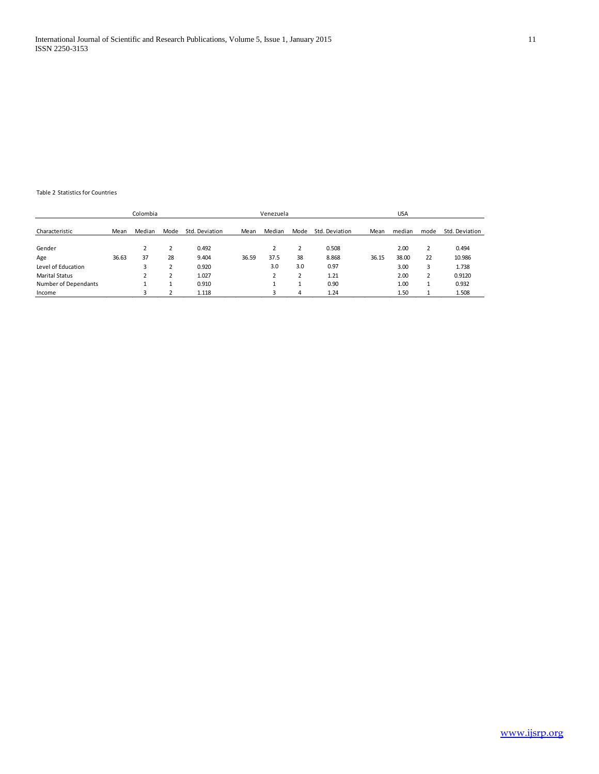### Table 2 Statistics for Countries

|                       |       | Colombia |        |                |       | Venezuela |      |                |       | <b>USA</b> |      |                |
|-----------------------|-------|----------|--------|----------------|-------|-----------|------|----------------|-------|------------|------|----------------|
| Characteristic        | Mean  | Median   | Mode   | Std. Deviation | Mean  | Median    | Mode | Std. Deviation | Mean  | median     | mode | Std. Deviation |
| Gender                |       |          | 2      | 0.492          |       |           |      | 0.508          |       | 2.00       |      | 0.494          |
| Age                   | 36.63 | 37       | 28     | 9.404          | 36.59 | 37.5      | 38   | 8.868          | 36.15 | 38.00      | 22   | 10.986         |
| Level of Education    |       | 3        | n<br>∠ | 0.920          |       | 3.0       | 3.0  | 0.97           |       | 3.00       | 3    | 1.738          |
| <b>Marital Status</b> |       | 2        | n<br>∠ | 1.027          |       |           |      | 1.21           |       | 2.00       |      | 0.9120         |
| Number of Dependants  |       |          |        | 0.910          |       |           |      | 0.90           |       | 1.00       |      | 0.932          |
| Income                |       | 3        | n      | 1.118          |       |           | 4    | 1.24           |       | 1.50       |      | 1.508          |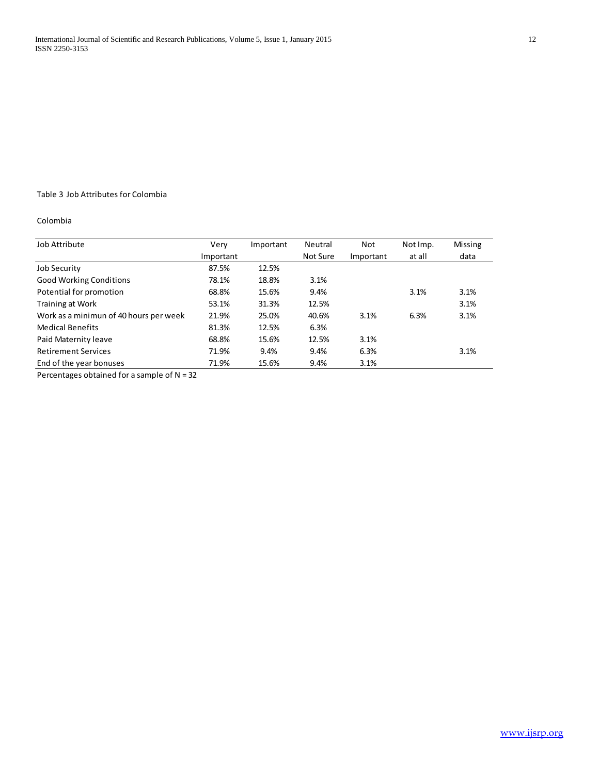# Table 3 Job Attributes for Colombia

# Colombia

| Job Attribute                          | Verv      | Important | <b>Neutral</b> | Not       | Not Imp. | <b>Missing</b> |
|----------------------------------------|-----------|-----------|----------------|-----------|----------|----------------|
|                                        | Important |           | Not Sure       | Important | at all   | data           |
| <b>Job Security</b>                    | 87.5%     | 12.5%     |                |           |          |                |
| <b>Good Working Conditions</b>         | 78.1%     | 18.8%     | 3.1%           |           |          |                |
| Potential for promotion                | 68.8%     | 15.6%     | 9.4%           |           | 3.1%     | 3.1%           |
| Training at Work                       | 53.1%     | 31.3%     | 12.5%          |           |          | 3.1%           |
| Work as a minimun of 40 hours per week | 21.9%     | 25.0%     | 40.6%          | 3.1%      | 6.3%     | 3.1%           |
| <b>Medical Benefits</b>                | 81.3%     | 12.5%     | 6.3%           |           |          |                |
| Paid Maternity leave                   | 68.8%     | 15.6%     | 12.5%          | 3.1%      |          |                |
| <b>Retirement Services</b>             | 71.9%     | 9.4%      | 9.4%           | 6.3%      |          | 3.1%           |
| End of the year bonuses                | 71.9%     | 15.6%     | 9.4%           | 3.1%      |          |                |

Percentages obtained for a sample of  $N = 32$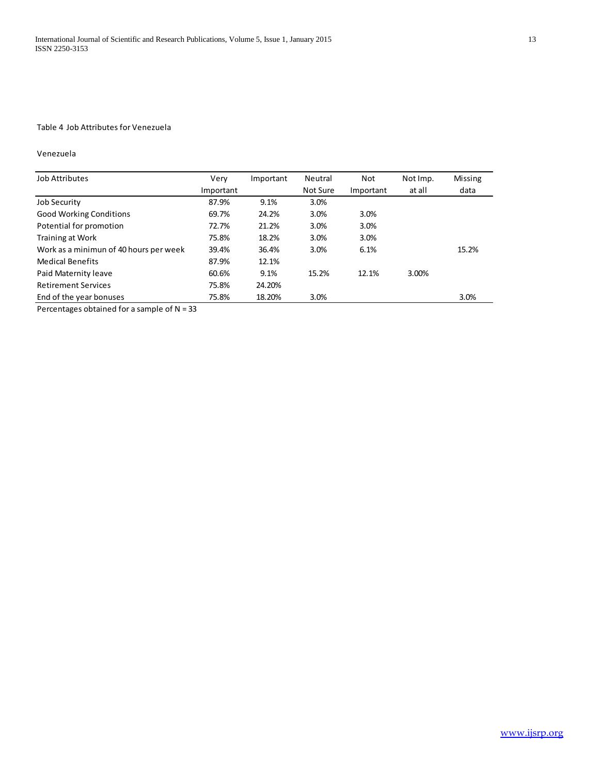# Table 4 Job Attributes for Venezuela

### Venezuela

| <b>Job Attributes</b>                  | Very      | Important | Neutral  | Not       | Not Imp. | <b>Missing</b> |
|----------------------------------------|-----------|-----------|----------|-----------|----------|----------------|
|                                        | Important |           | Not Sure | Important | at all   | data           |
| <b>Job Security</b>                    | 87.9%     | 9.1%      | 3.0%     |           |          |                |
| <b>Good Working Conditions</b>         | 69.7%     | 24.2%     | 3.0%     | 3.0%      |          |                |
| Potential for promotion                | 72.7%     | 21.2%     | 3.0%     | 3.0%      |          |                |
| Training at Work                       | 75.8%     | 18.2%     | 3.0%     | 3.0%      |          |                |
| Work as a minimun of 40 hours per week | 39.4%     | 36.4%     | 3.0%     | 6.1%      |          | 15.2%          |
| <b>Medical Benefits</b>                | 87.9%     | 12.1%     |          |           |          |                |
| Paid Maternity leave                   | 60.6%     | 9.1%      | 15.2%    | 12.1%     | 3.00%    |                |
| <b>Retirement Services</b>             | 75.8%     | 24.20%    |          |           |          |                |
| End of the year bonuses                | 75.8%     | 18.20%    | 3.0%     |           |          | 3.0%           |

Percentages obtained for a sample of N = 33